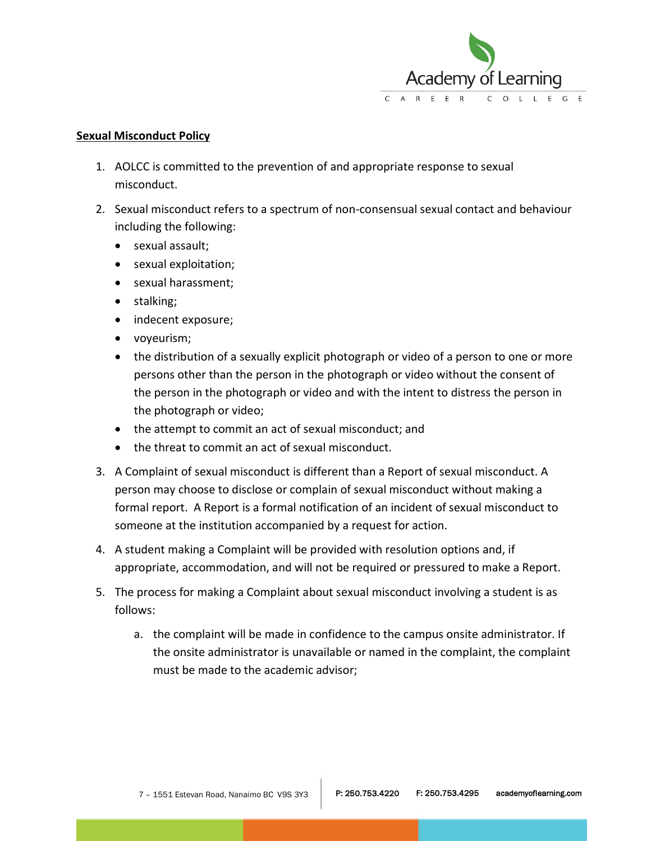

## **Sexual Misconduct Policy**

- 1. AOLCC is committed to the prevention of and appropriate response to sexual misconduct.
- 2. Sexual misconduct refers to a spectrum of non-consensual sexual contact and behaviour including the following:
	- sexual assault;
	- sexual exploitation;
	- sexual harassment:
	- stalking;
	- indecent exposure;
	- voyeurism;
	- the distribution of a sexually explicit photograph or video of a person to one or more persons other than the person in the photograph or video without the consent of the person in the photograph or video and with the intent to distress the person in the photograph or video;
	- the attempt to commit an act of sexual misconduct; and
	- the threat to commit an act of sexual misconduct.
- 3. A Complaint of sexual misconduct is different than a Report of sexual misconduct. A person may choose to disclose or complain of sexual misconduct without making a formal report. A Report is a formal notification of an incident of sexual misconduct to someone at the institution accompanied by a request for action.
- 4. A student making a Complaint will be provided with resolution options and, if appropriate, accommodation, and will not be required or pressured to make a Report.
- 5. The process for making a Complaint about sexual misconduct involving a student is as follows:
	- a. the complaint will be made in confidence to the campus onsite administrator. If the onsite administrator is unavailable or named in the complaint, the complaint must be made to the academic advisor;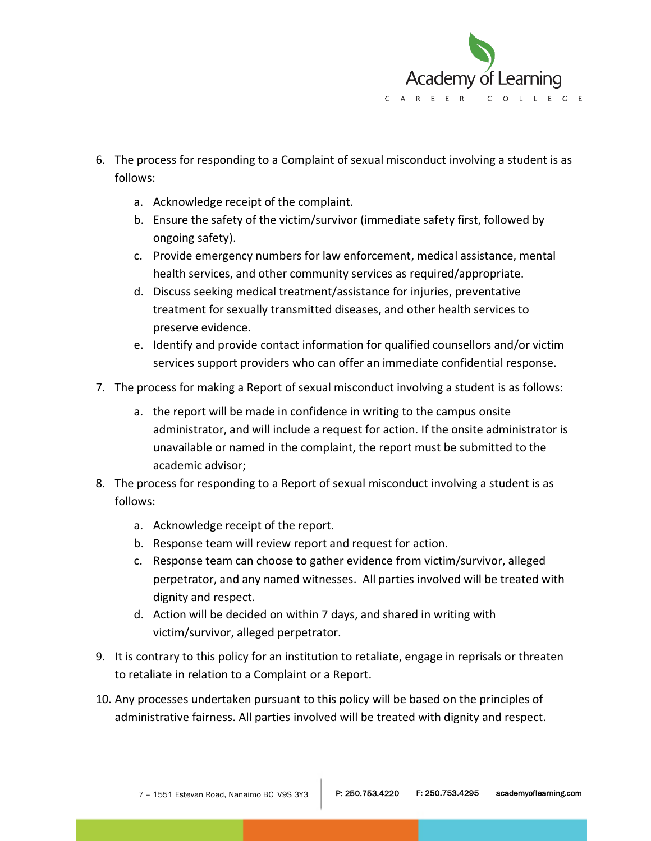

- 6. The process for responding to a Complaint of sexual misconduct involving a student is as follows:
	- a. Acknowledge receipt of the complaint.
	- b. Ensure the safety of the victim/survivor (immediate safety first, followed by ongoing safety).
	- c. Provide emergency numbers for law enforcement, medical assistance, mental health services, and other community services as required/appropriate.
	- d. Discuss seeking medical treatment/assistance for injuries, preventative treatment for sexually transmitted diseases, and other health services to preserve evidence.
	- e. Identify and provide contact information for qualified counsellors and/or victim services support providers who can offer an immediate confidential response.
- 7. The process for making a Report of sexual misconduct involving a student is as follows:
	- a. the report will be made in confidence in writing to the campus onsite administrator, and will include a request for action. If the onsite administrator is unavailable or named in the complaint, the report must be submitted to the academic advisor;
- 8. The process for responding to a Report of sexual misconduct involving a student is as follows:
	- a. Acknowledge receipt of the report.
	- b. Response team will review report and request for action.
	- c. Response team can choose to gather evidence from victim/survivor, alleged perpetrator, and any named witnesses. All parties involved will be treated with dignity and respect.
	- d. Action will be decided on within 7 days, and shared in writing with victim/survivor, alleged perpetrator.
- 9. It is contrary to this policy for an institution to retaliate, engage in reprisals or threaten to retaliate in relation to a Complaint or a Report.
- 10. Any processes undertaken pursuant to this policy will be based on the principles of administrative fairness. All parties involved will be treated with dignity and respect.